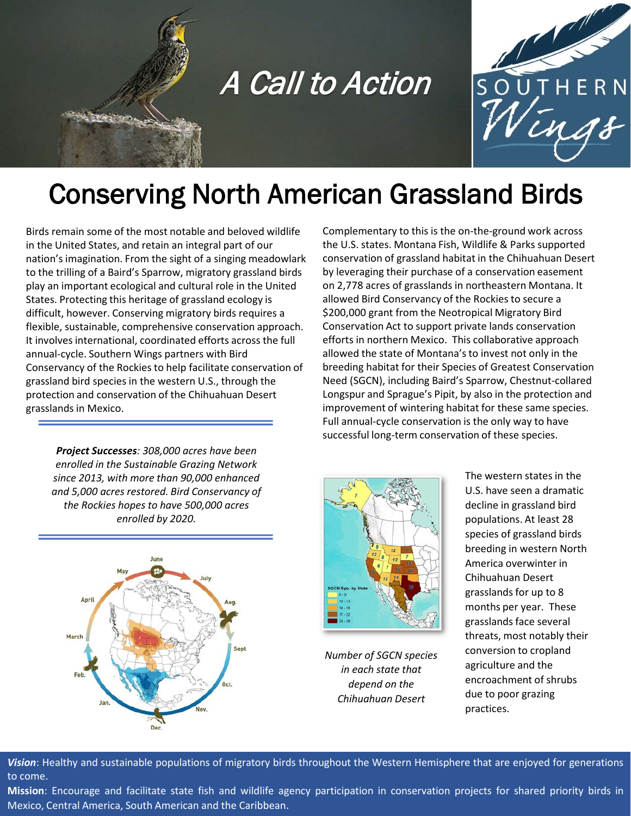



# Conserving North American Grassland Birds

Birds remain some of the most notable and beloved wildlife in the United States, and retain an integral part of our nation's imagination. From the sight of a singing meadowlark to the trilling of a Baird's Sparrow, migratory grassland birds play an important ecological and cultural role in the United States. Protecting this heritage of grassland ecology is difficult, however. Conserving migratory birds requires a flexible, sustainable, comprehensive conservation approach. It involves international, coordinated efforts across the full annual-cycle. Southern Wings partners with Bird Conservancy of the Rockies to help facilitate conservation of grassland bird species in the western U.S., through the protection and conservation of the Chihuahuan Desert grasslands in Mexico.

*Project Successes: 308,000 acres have been enrolled in the Sustainable Grazing Network since 2013, with more than 90,000 enhanced and 5,000 acres restored. Bird Conservancy of the Rockies hopes to have 500,000 acres enrolled by 2020.* 



Complementary to this is the on-the-ground work across the U.S. states. Montana Fish, Wildlife & Parks supported conservation of grassland habitat in the Chihuahuan Desert by leveraging their purchase of a conservation easement on 2,778 acres of grasslands in northeastern Montana. It allowed Bird Conservancy of the Rockies to secure a \$200,000 grant from the Neotropical Migratory Bird Conservation Act to support private lands conservation efforts in northern Mexico. This collaborative approach allowed the state of Montana's to invest not only in the breeding habitat for their Species of Greatest Conservation Need (SGCN), including Baird's Sparrow, Chestnut-collared Longspur and Sprague's Pipit, by also in the protection and improvement of wintering habitat for these same species. Full annual-cycle conservation is the only way to have successful long-term conservation of these species.



*Number of SGCN species in each state that depend on the Chihuahuan Desert*

The western states in the U.S. have seen a dramatic decline in grassland bird populations. At least 28 species of grassland birds breeding in western North America overwinter in Chihuahuan Desert grasslands for up to 8 months per year. These grasslands face several threats, most notably their conversion to cropland agriculture and the encroachment of shrubs due to poor grazing practices.

*Vision*: Healthy and sustainable populations of migratory birds throughout the Western Hemisphere that are enjoyed for generations to come.

**Mission**: Encourage and facilitate state fish and wildlife agency participation in conservation projects for shared priority birds in Mexico, Central America, South American and the Caribbean.